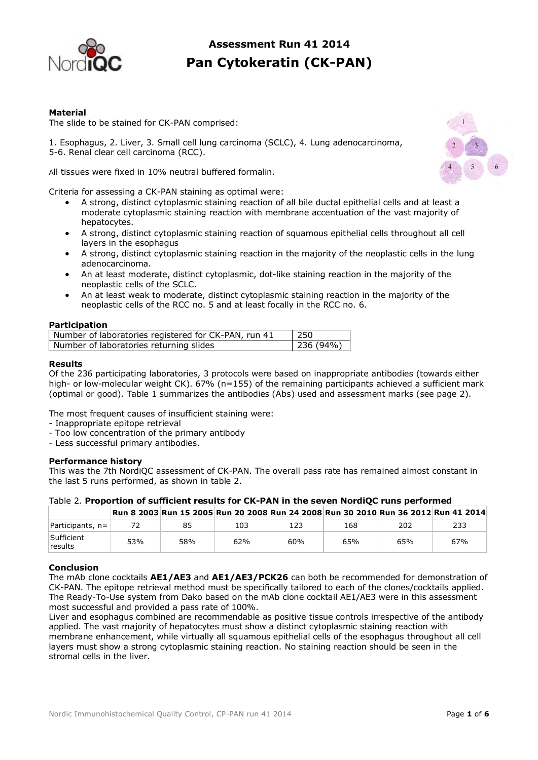

# **Assessment Run 41 2014 Pan Cytokeratin (CK-PAN)**

# **Material**

The slide to be stained for CK-PAN comprised:

1. Esophagus, 2. Liver, 3. Small cell lung carcinoma (SCLC), 4. Lung adenocarcinoma, 5-6. Renal clear cell carcinoma (RCC).

All tissues were fixed in 10% neutral buffered formalin.

Criteria for assessing a CK-PAN staining as optimal were:

- A strong, distinct cytoplasmic staining reaction of all bile ductal epithelial cells and at least a moderate cytoplasmic staining reaction with membrane accentuation of the vast majority of hepatocytes.
- A strong, distinct cytoplasmic staining reaction of squamous epithelial cells throughout all cell layers in the esophagus
- A strong, distinct cytoplasmic staining reaction in the majority of the neoplastic cells in the lung adenocarcinoma.
- An at least moderate, distinct cytoplasmic, dot-like staining reaction in the majority of the neoplastic cells of the SCLC.
- An at least weak to moderate, distinct cytoplasmic staining reaction in the majority of the neoplastic cells of the RCC no. 5 and at least focally in the RCC no. 6.

#### **Participation**

| Number of laboratories registered for CK-PAN, run 41 | 250      |
|------------------------------------------------------|----------|
| Number of laboratories returning slides              | 236(94%) |

#### **Results**

Of the 236 participating laboratories, 3 protocols were based on inappropriate antibodies (towards either high- or low-molecular weight CK). 67% (n=155) of the remaining participants achieved a sufficient mark (optimal or good). Table 1 summarizes the antibodies (Abs) used and assessment marks (see page 2).

The most frequent causes of insufficient staining were:

- Inappropriate epitope retrieval
- Too low concentration of the primary antibody
- Less successful primary antibodies.

#### **Performance history**

This was the 7th NordiQC assessment of CK-PAN. The overall pass rate has remained almost constant in the last 5 runs performed, as shown in table 2.

| Table 2. Proportion of sufficient results for CK-PAN in the seven NordiQC runs performed |  |  |  |  |                                                                                    |  |  |  |
|------------------------------------------------------------------------------------------|--|--|--|--|------------------------------------------------------------------------------------|--|--|--|
|                                                                                          |  |  |  |  | Run 8 2003 Run 15 2005 Run 20 2008 Run 24 2008 Run 30 2010 Run 36 2012 Run 41 2014 |  |  |  |

| Participants,<br>$n =$ | $\overline{\phantom{a}}$ | $\circ$<br>ັ | 103 | 123 | 168 | 202 | 233 |
|------------------------|--------------------------|--------------|-----|-----|-----|-----|-----|
| Sufficient<br>results  | 53%                      | 58%          | 62% | 60% | 65% | 65% | 67% |

# **Conclusion**

The mAb clone cocktails **AE1/AE3** and **AE1/AE3/PCK26** can both be recommended for demonstration of CK-PAN. The epitope retrieval method must be specifically tailored to each of the clones/cocktails applied. The Ready-To-Use system from Dako based on the mAb clone cocktail AE1/AE3 were in this assessment most successful and provided a pass rate of 100%.

Liver and esophagus combined are recommendable as positive tissue controls irrespective of the antibody applied. The vast majority of hepatocytes must show a distinct cytoplasmic staining reaction with membrane enhancement, while virtually all squamous epithelial cells of the esophagus throughout all cell layers must show a strong cytoplasmic staining reaction. No staining reaction should be seen in the stromal cells in the liver.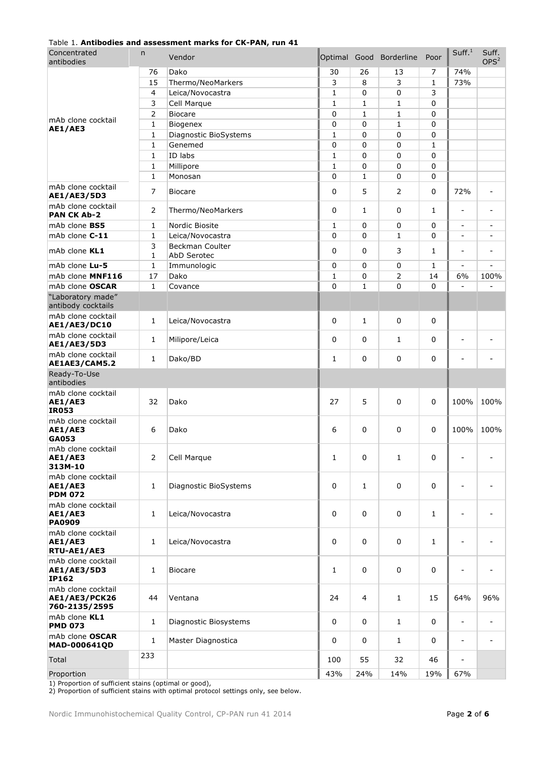| Concentrated<br>antibodies                           | n              | Vendor                |              |              | Optimal Good Borderline | Poor         | Suff. <sup>1</sup>       | Suff.<br>OPS <sup>2</sup> |
|------------------------------------------------------|----------------|-----------------------|--------------|--------------|-------------------------|--------------|--------------------------|---------------------------|
|                                                      | 76             | Dako                  | 30           | 26           | 13                      | 7            | 74%                      |                           |
|                                                      | 15             | Thermo/NeoMarkers     | 3            | 8            | 3                       | $\mathbf{1}$ | 73%                      |                           |
|                                                      | $\overline{4}$ | Leica/Novocastra      | $\mathbf{1}$ | 0            | $\mathbf 0$             | 3            |                          |                           |
|                                                      | 3              | Cell Marque           | $\mathbf{1}$ | 1            | 1                       | 0            |                          |                           |
|                                                      | 2              | <b>Biocare</b>        | 0            | 1            | $\mathbf{1}$            | 0            |                          |                           |
| mAb clone cocktail                                   | 1              | Biogenex              | 0            | 0            | $\mathbf{1}$            | 0            |                          |                           |
| AE1/AE3                                              | 1              | Diagnostic BioSystems | 1            | 0            | 0                       | 0            |                          |                           |
|                                                      | 1              | Genemed               | $\Omega$     | 0            | 0                       | $\mathbf{1}$ |                          |                           |
|                                                      | 1              | ID labs               | 1            | 0            | 0                       | 0            |                          |                           |
|                                                      | 1              | Millipore             | 1            | 0            | 0                       | 0            |                          |                           |
|                                                      | $\mathbf 1$    | Monosan               | 0            | 1            | 0                       | 0            |                          |                           |
| mAb clone cocktail<br>AE1/AE3/5D3                    | 7              | <b>Biocare</b>        | 0            | 5            | 2                       | 0            | 72%                      |                           |
| mAb clone cocktail<br><b>PAN CK Ab-2</b>             | 2              | Thermo/NeoMarkers     | 0            | 1            | 0                       | 1            |                          |                           |
| mAb clone BS5                                        | 1              | Nordic Biosite        | $\mathbf{1}$ | 0            | 0                       | 0            | $\overline{\phantom{a}}$ |                           |
| mAb clone C-11                                       | $\mathbf 1$    | Leica/Novocastra      | $\Omega$     | 0            | $\mathbf{1}$            | 0            | $\sim$                   |                           |
|                                                      | 3              | Beckman Coulter       |              |              |                         |              |                          |                           |
| mAb clone KL1                                        | 1              | AbD Serotec           | $\Omega$     | 0            | 3                       | $\mathbf{1}$ | $\overline{\phantom{a}}$ |                           |
| mAb clone Lu-5                                       | 1              | Immunologic           | 0            | 0            | 0                       | $\mathbf{1}$ | $\overline{\phantom{a}}$ | $\overline{a}$            |
| mAb clone MNF116                                     | 17             | Dako                  | 1            | 0            | $\overline{2}$          | 14           | 6%                       | 100%                      |
| mAb clone OSCAR                                      | $\mathbf{1}$   | Covance               | $\Omega$     | $\mathbf{1}$ | $\Omega$                | $\Omega$     |                          |                           |
| "Laboratory made"<br>antibody cocktails              |                |                       |              |              |                         |              |                          |                           |
| mAb clone cocktail<br><b>AE1/AE3/DC10</b>            | 1              | Leica/Novocastra      | 0            | $\mathbf{1}$ | 0                       | 0            |                          |                           |
| mAb clone cocktail<br>AE1/AE3/5D3                    | 1              | Milipore/Leica        | 0            | 0            | $\mathbf{1}$            | 0            |                          |                           |
| mAb clone cocktail<br>AE1AE3/CAM5.2                  | 1              | Dako/BD               | 1            | 0            | 0                       | 0            | ٠                        |                           |
| Ready-To-Use                                         |                |                       |              |              |                         |              |                          |                           |
| antibodies                                           |                |                       |              |              |                         |              |                          |                           |
| mAb clone cocktail<br><b>AE1/AE3</b><br><b>IR053</b> | 32             | Dako                  | 27           | 5            | 0                       | 0            | 100%                     | 100%                      |
| mAb clone cocktail<br><b>AE1/AE3</b><br>GA053        | 6              | Dako                  | 6            | $\mathbf 0$  | 0                       | 0            | 100%                     | 100%                      |
| mAb clone cocktail<br><b>AE1/AE3</b><br>313M-10      | 2              | Cell Marque           | 1            | 0            | $\mathbf{1}$            | 0            |                          |                           |
| mAb clone cocktail<br><b>AE1/AE3</b>                 | 1              | Diagnostic BioSystems | 0            | $\mathbf{1}$ | 0                       | 0            |                          |                           |
| <b>PDM 072</b><br>mAb clone cocktail                 |                |                       |              |              |                         |              |                          |                           |
| <b>AE1/AE3</b><br><b>PA0909</b>                      | 1              | Leica/Novocastra      | 0            | 0            | $\mathbf 0$             | 1            | $\overline{a}$           |                           |
| mAb clone cocktail<br><b>AE1/AE3</b><br>RTU-AE1/AE3  | 1              | Leica/Novocastra      | 0            | 0            | $\mathbf 0$             | 1            |                          |                           |
| mAb clone cocktail<br>AE1/AE3/5D3<br><b>IP162</b>    | 1              | <b>Biocare</b>        | 1            | 0            | $\mathbf 0$             | 0            | $\qquad \qquad$          |                           |
| mAb clone cocktail<br>AE1/AE3/PCK26<br>760-2135/2595 | 44             | Ventana               | 24           | 4            | $\mathbf{1}$            | 15           | 64%                      | 96%                       |
| mAb clone KL1<br><b>PMD 073</b>                      | 1              | Diagnostic Biosystems | 0            | 0            | $\mathbf{1}$            | 0            | $\overline{\phantom{a}}$ |                           |
| mAb clone OSCAR<br>MAD-000641QD                      | 1              | Master Diagnostica    | 0            | $\mathbf 0$  | $\mathbf{1}$            | 0            | $\overline{\phantom{a}}$ |                           |
| Total                                                | 233            |                       | 100          | 55           | 32                      | 46           | $\overline{a}$           |                           |
| Proportion                                           |                |                       | 43%          | 24%          | 14%                     | 19%          | 67%                      |                           |

## Table 1. **Antibodies and assessment marks for CK-PAN, run 41**

1) Proportion of sufficient stains (optimal or good),

2) Proportion of sufficient stains with optimal protocol settings only, see below.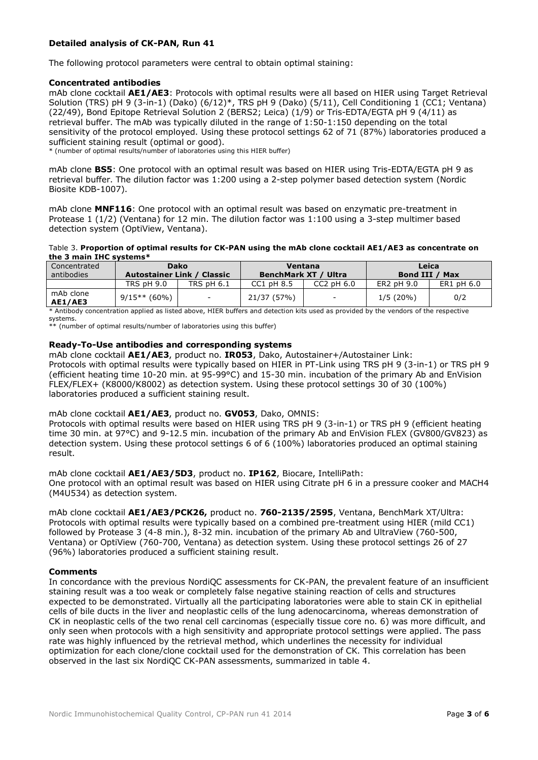# **Detailed analysis of CK-PAN, Run 41**

The following protocol parameters were central to obtain optimal staining:

# **Concentrated antibodies**

mAb clone cocktail **AE1/AE3**: Protocols with optimal results were all based on HIER using Target Retrieval Solution (TRS) pH 9 (3-in-1) (Dako) (6/12)\*, TRS pH 9 (Dako) (5/11), Cell Conditioning 1 (CC1; Ventana) (22/49), Bond Epitope Retrieval Solution 2 (BERS2; Leica) (1/9) or Tris-EDTA/EGTA pH 9 (4/11) as retrieval buffer. The mAb was typically diluted in the range of 1:50-1:150 depending on the total sensitivity of the protocol employed. Using these protocol settings 62 of 71 (87%) laboratories produced a sufficient staining result (optimal or good).

\* (number of optimal results/number of laboratories using this HIER buffer)

mAb clone **BS5**: One protocol with an optimal result was based on HIER using Tris-EDTA/EGTA pH 9 as retrieval buffer. The dilution factor was 1:200 using a 2-step polymer based detection system (Nordic Biosite KDB-1007).

mAb clone **MNF116**: One protocol with an optimal result was based on enzymatic pre-treatment in Protease 1 (1/2) (Ventana) for 12 min. The dilution factor was 1:100 using a 3-step multimer based detection system (OptiView, Ventana).

#### Table 3. **Proportion of optimal results for CK-PAN using the mAb clone cocktail AE1/AE3 as concentrate on the 3 main IHC systems\***

| Concentrated         | Dako                              |                          | Ventana              |                          | Leica          |            |  |
|----------------------|-----------------------------------|--------------------------|----------------------|--------------------------|----------------|------------|--|
| antibodies           | <b>Autostainer Link / Classic</b> |                          | BenchMark XT / Ultra |                          | Bond III / Max |            |  |
|                      | <b>TRS pH 9.0</b>                 | <b>TRS pH 6.1</b>        | $CC1$ pH $8.5$       | $CC2$ pH $6.0$           | ER2 pH 9.0     | ER1 pH 6.0 |  |
| mAb clone<br>AE1/AE3 | $9/15**$ (60%)                    | $\overline{\phantom{0}}$ | 21/37 (57%)          | $\overline{\phantom{a}}$ | $1/5(20\%)$    | 0/2        |  |

\* Antibody concentration applied as listed above, HIER buffers and detection kits used as provided by the vendors of the respective systems.

\*\* (number of optimal results/number of laboratories using this buffer)

# **Ready-To-Use antibodies and corresponding systems**

mAb clone cocktail **AE1/AE3**, product no. **IR053**, Dako, Autostainer+/Autostainer Link: Protocols with optimal results were typically based on HIER in PT-Link using TRS pH 9 (3-in-1) or TRS pH 9 (efficient heating time 10-20 min. at 95-99°C) and 15-30 min. incubation of the primary Ab and EnVision FLEX/FLEX+ (K8000/K8002) as detection system. Using these protocol settings 30 of 30 (100%) laboratories produced a sufficient staining result.

## mAb clone cocktail **AE1/AE3**, product no. **GV053**, Dako, OMNIS:

Protocols with optimal results were based on HIER using TRS pH 9 (3-in-1) or TRS pH 9 (efficient heating time 30 min. at 97°C) and 9-12.5 min. incubation of the primary Ab and EnVision FLEX (GV800/GV823) as detection system. Using these protocol settings 6 of 6 (100%) laboratories produced an optimal staining result.

#### mAb clone cocktail **AE1/AE3/5D3**, product no. **IP162**, Biocare, IntelliPath: One protocol with an optimal result was based on HIER using Citrate pH 6 in a pressure cooker and MACH4

(M4U534) as detection system.

mAb clone cocktail **AE1/AE3/PCK26,** product no. **760-2135/2595**, Ventana, BenchMark XT/Ultra: Protocols with optimal results were typically based on a combined pre-treatment using HIER (mild CC1) followed by Protease 3 (4-8 min.), 8-32 min. incubation of the primary Ab and UltraView (760-500, Ventana) or OptiView (760-700, Ventana) as detection system. Using these protocol settings 26 of 27 (96%) laboratories produced a sufficient staining result.

# **Comments**

In concordance with the previous NordiOC assessments for CK-PAN, the prevalent feature of an insufficient staining result was a too weak or completely false negative staining reaction of cells and structures expected to be demonstrated. Virtually all the participating laboratories were able to stain CK in epithelial cells of bile ducts in the liver and neoplastic cells of the lung adenocarcinoma, whereas demonstration of CK in neoplastic cells of the two renal cell carcinomas (especially tissue core no. 6) was more difficult, and only seen when protocols with a high sensitivity and appropriate protocol settings were applied. The pass rate was highly influenced by the retrieval method, which underlines the necessity for individual optimization for each clone/clone cocktail used for the demonstration of CK. This correlation has been observed in the last six NordiQC CK-PAN assessments, summarized in table 4.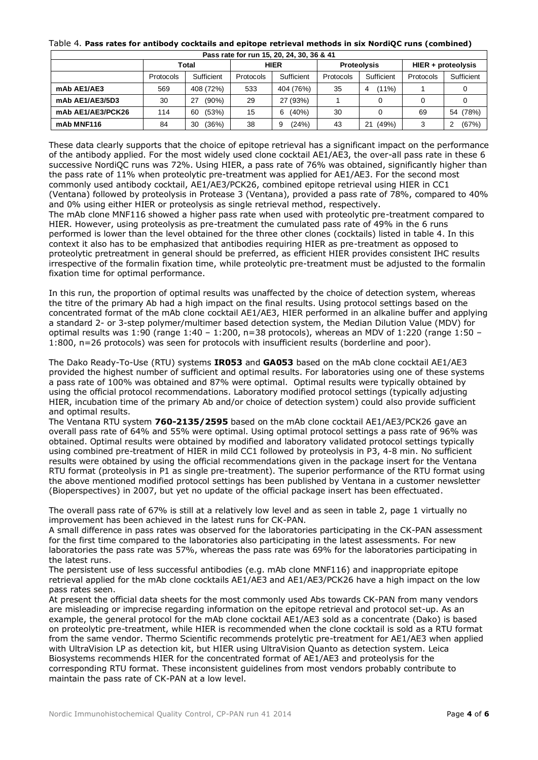#### Table 4. **Pass rates for antibody cocktails and epitope retrieval methods in six NordiQC runs (combined)**

| Pass rate for run 15, 20, 24, 30, 36 & 41 |           |             |                         |            |                    |               |                    |             |  |  |  |
|-------------------------------------------|-----------|-------------|-------------------------|------------|--------------------|---------------|--------------------|-------------|--|--|--|
|                                           | Total     |             | <b>HIER</b>             |            | <b>Proteolysis</b> |               | HIER + proteolysis |             |  |  |  |
|                                           | Protocols | Sufficient  | Sufficient<br>Protocols |            | Protocols          | Sufficient    | Protocols          | Sufficient  |  |  |  |
| mAb AE1/AE3                               | 569       | 408 (72%)   | 533                     | 404 (76%)  | 35                 | $(11\%)$<br>4 |                    |             |  |  |  |
| mAb AE1/AE3/5D3                           | 30        | (90%)<br>27 | 29                      | 27 (93%)   |                    |               |                    |             |  |  |  |
| mAb AE1/AE3/PCK26                         | 114       | (53%)<br>60 | 15                      | (40%)<br>6 | 30                 |               | 69                 | (78%)<br>54 |  |  |  |
| mAb MNF116                                | 84        | (36%)<br>30 | 38                      | (24%)<br>9 | 43                 | (49%)<br>21   | 3                  | (67%)<br>2  |  |  |  |

These data clearly supports that the choice of epitope retrieval has a significant impact on the performance of the antibody applied. For the most widely used clone cocktail AE1/AE3, the over-all pass rate in these 6 successive NordiQC runs was 72%. Using HIER, a pass rate of 76% was obtained, significantly higher than the pass rate of 11% when proteolytic pre-treatment was applied for AE1/AE3. For the second most commonly used antibody cocktail, AE1/AE3/PCK26, combined epitope retrieval using HIER in CC1 (Ventana) followed by proteolysis in Protease 3 (Ventana), provided a pass rate of 78%, compared to 40% and 0% using either HIER or proteolysis as single retrieval method, respectively. The mAb clone MNF116 showed a higher pass rate when used with proteolytic pre-treatment compared to

HIER. However, using proteolysis as pre-treatment the cumulated pass rate of 49% in the 6 runs performed is lower than the level obtained for the three other clones (cocktails) listed in table 4. In this context it also has to be emphasized that antibodies requiring HIER as pre-treatment as opposed to proteolytic pretreatment in general should be preferred, as efficient HIER provides consistent IHC results irrespective of the formalin fixation time, while proteolytic pre-treatment must be adjusted to the formalin fixation time for optimal performance.

In this run, the proportion of optimal results was unaffected by the choice of detection system, whereas the titre of the primary Ab had a high impact on the final results. Using protocol settings based on the concentrated format of the mAb clone cocktail AE1/AE3, HIER performed in an alkaline buffer and applying a standard 2- or 3-step polymer/multimer based detection system, the Median Dilution Value (MDV) for optimal results was 1:90 (range 1:40 – 1:200, n=38 protocols), whereas an MDV of 1:220 (range 1:50 – 1:800, n=26 protocols) was seen for protocols with insufficient results (borderline and poor).

The Dako Ready-To-Use (RTU) systems **IR053** and **GA053** based on the mAb clone cocktail AE1/AE3 provided the highest number of sufficient and optimal results. For laboratories using one of these systems a pass rate of 100% was obtained and 87% were optimal. Optimal results were typically obtained by using the official protocol recommendations. Laboratory modified protocol settings (typically adjusting HIER, incubation time of the primary Ab and/or choice of detection system) could also provide sufficient and optimal results.

The Ventana RTU system **760-2135/2595** based on the mAb clone cocktail AE1/AE3/PCK26 gave an overall pass rate of 64% and 55% were optimal. Using optimal protocol settings a pass rate of 96% was obtained. Optimal results were obtained by modified and laboratory validated protocol settings typically using combined pre-treatment of HIER in mild CC1 followed by proteolysis in P3, 4-8 min. No sufficient results were obtained by using the official recommendations given in the package insert for the Ventana RTU format (proteolysis in P1 as single pre-treatment). The superior performance of the RTU format using the above mentioned modified protocol settings has been published by Ventana in a customer newsletter (Bioperspectives) in 2007, but yet no update of the official package insert has been effectuated.

The overall pass rate of 67% is still at a relatively low level and as seen in table 2, page 1 virtually no improvement has been achieved in the latest runs for CK-PAN.

A small difference in pass rates was observed for the laboratories participating in the CK-PAN assessment for the first time compared to the laboratories also participating in the latest assessments. For new laboratories the pass rate was 57%, whereas the pass rate was 69% for the laboratories participating in the latest runs.

The persistent use of less successful antibodies (e.g. mAb clone MNF116) and inappropriate epitope retrieval applied for the mAb clone cocktails AE1/AE3 and AE1/AE3/PCK26 have a high impact on the low pass rates seen.

At present the official data sheets for the most commonly used Abs towards CK-PAN from many vendors are misleading or imprecise regarding information on the epitope retrieval and protocol set-up. As an example, the general protocol for the mAb clone cocktail AE1/AE3 sold as a concentrate (Dako) is based on proteolytic pre-treatment, while HIER is recommended when the clone cocktail is sold as a RTU format from the same vendor. Thermo Scientific recommends protelytic pre-treatment for AE1/AE3 when applied with UltraVision LP as detection kit, but HIER using UltraVision Quanto as detection system. Leica Biosystems recommends HIER for the concentrated format of AE1/AE3 and proteolysis for the corresponding RTU format. These inconsistent guidelines from most vendors probably contribute to maintain the pass rate of CK-PAN at a low level.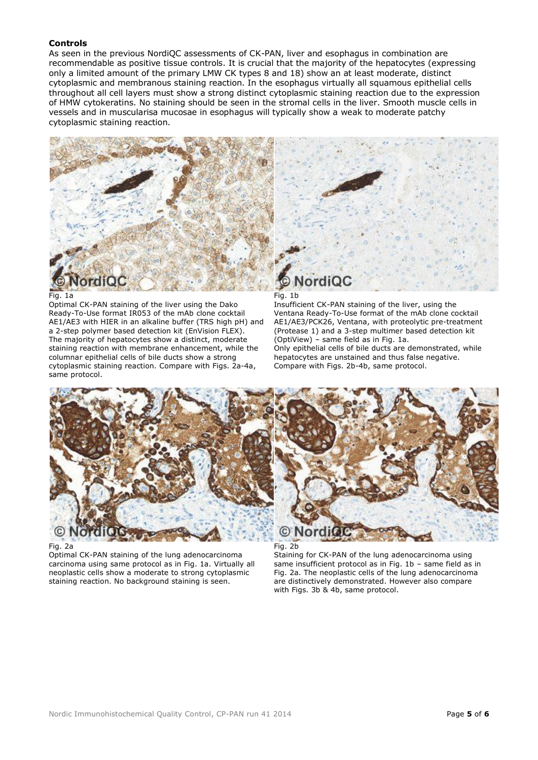# **Controls**

As seen in the previous NordiQC assessments of CK-PAN, liver and esophagus in combination are recommendable as positive tissue controls. It is crucial that the majority of the hepatocytes (expressing only a limited amount of the primary LMW CK types 8 and 18) show an at least moderate, distinct cytoplasmic and membranous staining reaction. In the esophagus virtually all squamous epithelial cells throughout all cell layers must show a strong distinct cytoplasmic staining reaction due to the expression of HMW cytokeratins. No staining should be seen in the stromal cells in the liver. Smooth muscle cells in vessels and in muscularisa mucosae in esophagus will typically show a weak to moderate patchy cytoplasmic staining reaction.



#### Fig. 1a

Optimal CK-PAN staining of the liver using the Dako Ready-To-Use format IR053 of the mAb clone cocktail AE1/AE3 with HIER in an alkaline buffer (TRS high pH) and a 2-step polymer based detection kit (EnVision FLEX). The majority of hepatocytes show a distinct, moderate staining reaction with membrane enhancement, while the columnar epithelial cells of bile ducts show a strong cytoplasmic staining reaction. Compare with Figs. 2a-4a, same protocol.

#### Fig. 1b

Insufficient CK-PAN staining of the liver, using the Ventana Ready-To-Use format of the mAb clone cocktail AE1/AE3/PCK26, Ventana, with proteolytic pre-treatment (Protease 1) and a 3-step multimer based detection kit (OptiView) – same field as in Fig. 1a. Only epithelial cells of bile ducts are demonstrated, while hepatocytes are unstained and thus false negative. Compare with Figs. 2b-4b, same protocol.



#### Fig. 2a

Optimal CK-PAN staining of the lung adenocarcinoma carcinoma using same protocol as in Fig. 1a. Virtually all neoplastic cells show a moderate to strong cytoplasmic staining reaction. No background staining is seen.

Fig. 2b

Staining for CK-PAN of the lung adenocarcinoma using same insufficient protocol as in Fig. 1b – same field as in Fig. 2a. The neoplastic cells of the lung adenocarcinoma are distinctively demonstrated. However also compare with Figs. 3b & 4b, same protocol.